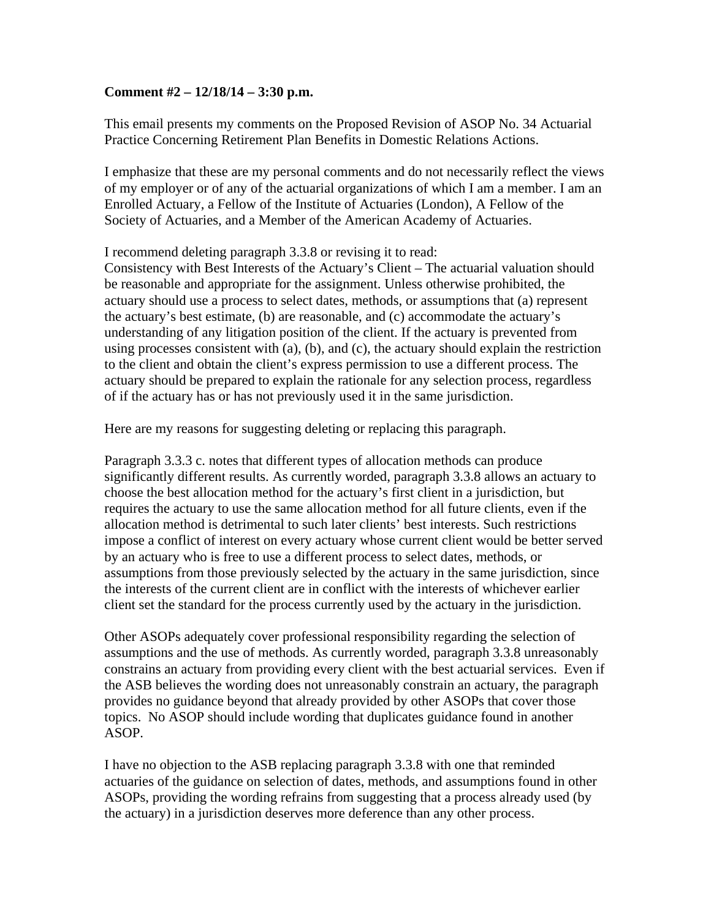## **Comment #2 – 12/18/14 – 3:30 p.m.**

This email presents my comments on the Proposed Revision of ASOP No. 34 Actuarial Practice Concerning Retirement Plan Benefits in Domestic Relations Actions.

I emphasize that these are my personal comments and do not necessarily reflect the views of my employer or of any of the actuarial organizations of which I am a member. I am an Enrolled Actuary, a Fellow of the Institute of Actuaries (London), A Fellow of the Society of Actuaries, and a Member of the American Academy of Actuaries.

I recommend deleting paragraph 3.3.8 or revising it to read:

Consistency with Best Interests of the Actuary's Client – The actuarial valuation should be reasonable and appropriate for the assignment. Unless otherwise prohibited, the actuary should use a process to select dates, methods, or assumptions that (a) represent the actuary's best estimate, (b) are reasonable, and (c) accommodate the actuary's understanding of any litigation position of the client. If the actuary is prevented from using processes consistent with (a), (b), and (c), the actuary should explain the restriction to the client and obtain the client's express permission to use a different process. The actuary should be prepared to explain the rationale for any selection process, regardless of if the actuary has or has not previously used it in the same jurisdiction.

Here are my reasons for suggesting deleting or replacing this paragraph.

Paragraph 3.3.3 c. notes that different types of allocation methods can produce significantly different results. As currently worded, paragraph 3.3.8 allows an actuary to choose the best allocation method for the actuary's first client in a jurisdiction, but requires the actuary to use the same allocation method for all future clients, even if the allocation method is detrimental to such later clients' best interests. Such restrictions impose a conflict of interest on every actuary whose current client would be better served by an actuary who is free to use a different process to select dates, methods, or assumptions from those previously selected by the actuary in the same jurisdiction, since the interests of the current client are in conflict with the interests of whichever earlier client set the standard for the process currently used by the actuary in the jurisdiction.

Other ASOPs adequately cover professional responsibility regarding the selection of assumptions and the use of methods. As currently worded, paragraph 3.3.8 unreasonably constrains an actuary from providing every client with the best actuarial services. Even if the ASB believes the wording does not unreasonably constrain an actuary, the paragraph provides no guidance beyond that already provided by other ASOPs that cover those topics. No ASOP should include wording that duplicates guidance found in another ASOP.

I have no objection to the ASB replacing paragraph 3.3.8 with one that reminded actuaries of the guidance on selection of dates, methods, and assumptions found in other ASOPs, providing the wording refrains from suggesting that a process already used (by the actuary) in a jurisdiction deserves more deference than any other process.